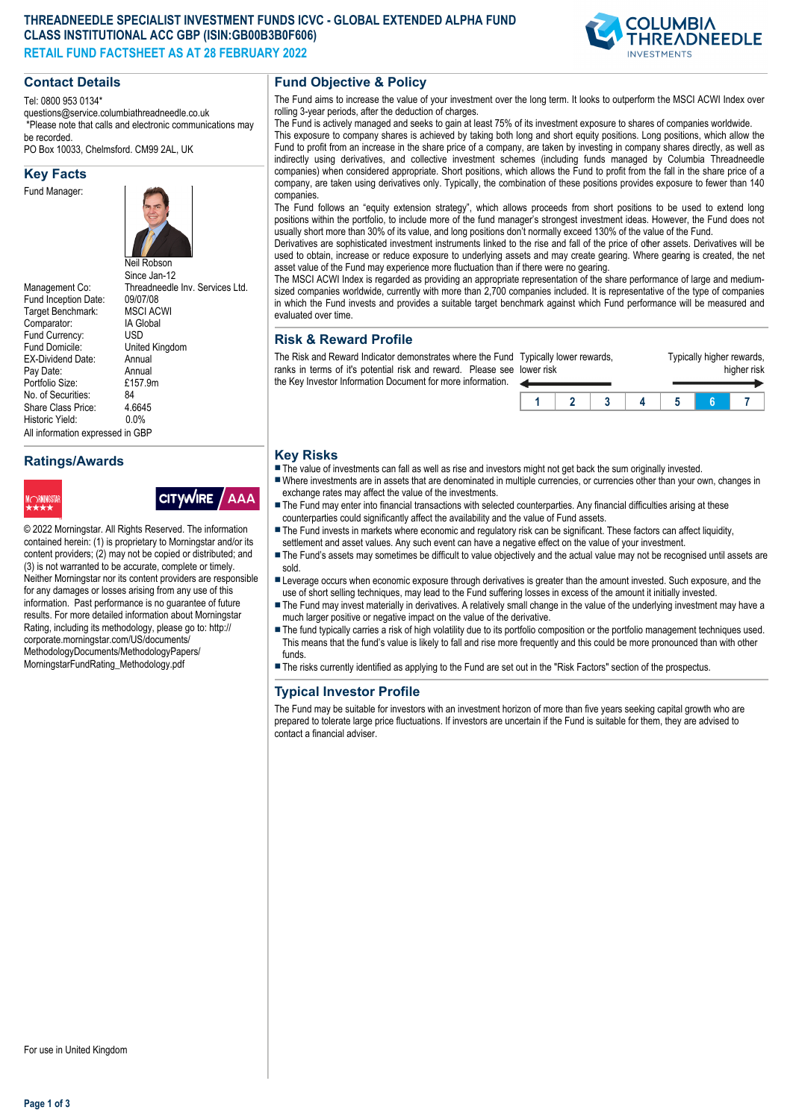## **THREADNEEDLE SPECIALIST INVESTMENT FUNDS ICVC - GLOBAL EXTENDED ALPHA FUND CLASS INSTITUTIONAL ACC GBP (ISIN:GB00B3B0F606) RETAIL FUND FACTSHEET AS AT 28 FEBRUARY 2022**



## **Contact Details**

Tel: 0800 953 0134\*

questions@service.columbiathreadneedle.co.uk \*Please note that calls and electronic communications may be recorded.

PO Box 10033, Chelmsford. CM99 2AL, UK

### **Key Facts**

Fund Manager:



Fund Inception Date: 09/07/08<br>Target Benchmark: MSCLACWI Target Benchmark: Comparator: IA Global<br>Fund Currency: ISD Fund Currency:<br>Fund Domicile: EX-Dividend Date: Annual<br>Pay Date: Annual Pay Date: Annual<br>Portfolio Size: F157 9m Portfolio Size: £1<br>No. of Securities: 84 No. of Securities: 84<br>Share Class Price: 4.6645 Share Class Price: 4.664<br>Historic Vield: 0.0% Historic Yield: All information expressed in GBP

# **Ratings/Awards**

© 2022 Morningstar. All Rights Reserved. The information contained herein: (1) is proprietary to Morningstar and/or its content providers; (2) may not be copied or distributed; and (3) is not warranted to be accurate, complete or timely. Neither Morningstar nor its content providers are responsible for any damages or losses arising from any use of this information. Past performance is no guarantee of future results. For more detailed information about Morningstar Rating, including its methodology, please go to: http:// corporate.morningstar.com/US/documents/ MethodologyDocuments/MethodologyPapers/ MorningstarFundRating\_Methodology.pdf

**CITYWIRE** 

/ AAA



Neil Robson Since Jan-12 Management Co: Threadneedle Inv. Services Ltd.<br>Fund Inception Date: 09/07/08 United Kingdom<br>Annual

**Fund Objective & Policy**

The Fund aims to increase the value of your investment over the long term. It looks to outperform the MSCI ACWI Index over rolling 3-year periods, after the deduction of charges.

The Fund is actively managed and seeks to gain at least 75% of its investment exposure to shares of companies worldwide. This exposure to company shares is achieved by taking both long and short equity positions. Long positions, which allow the Fund to profit from an increase in the share price of a company, are taken by investing in company shares directly, as well as indirectly using derivatives, and collective investment schemes (including funds managed by Columbia Threadneedle companies) when considered appropriate. Short positions, which allows the Fund to profit from the fall in the share price of a company, are taken using derivatives only. Typically, the combination of these positions provides exposure to fewer than 140 companies.

The Fund follows an "equity extension strategy", which allows proceeds from short positions to be used to extend long positions within the portfolio, to include more of the fund manager's strongest investment ideas. However, the Fund does not usually short more than 30% of its value, and long positions don't normally exceed 130% of the value of the Fund.

Derivatives are sophisticated investment instruments linked to the rise and fall of the price of other assets. Derivatives will be used to obtain, increase or reduce exposure to underlying assets and may create gearing. Where gearing is created, the net asset value of the Fund may experience more fluctuation than if there were no gearing.

The MSCI ACWI Index is regarded as providing an appropriate representation of the share performance of large and mediumsized companies worldwide, currently with more than 2,700 companies included. It is representative of the type of companies in which the Fund invests and provides a suitable target benchmark against which Fund performance will be measured and evaluated over time.

## **Risk & Reward Profile**

The Risk and Reward Indicator demonstrates where the Fund Ty ranks in terms of it's potential risk and reward. Please see the Key Investor Information Document for more information. lower risk

| lower risk | Typically lower rewards, |  | Typically higher rewards,<br>higher risk |  |  |  |  |
|------------|--------------------------|--|------------------------------------------|--|--|--|--|
|            |                          |  |                                          |  |  |  |  |

# **Key Risks**

- $\blacksquare$  The value of investments can fall as well as rise and investors might not get back the sum originally invested.
- nWhere investments are in assets that are denominated in multiple currencies, or currencies other than your own, changes in exchange rates may affect the value of the investments.
- The Fund may enter into financial transactions with selected counterparties. Any financial difficulties arising at these counterparties could significantly affect the availability and the value of Fund assets.
- The Fund invests in markets where economic and regulatory risk can be significant. These factors can affect liquidity, settlement and asset values. Any such event can have a negative effect on the value of your investment.
- The Fund's assets may sometimes be difficult to value objectively and the actual value may not be recognised until assets are sold.
- n Leverage occurs when economic exposure through derivatives is greater than the amount invested. Such exposure, and the use of short selling techniques, may lead to the Fund suffering losses in excess of the amount it initially invested.
- The Fund may invest materially in derivatives. A relatively small change in the value of the underlying investment may have a much larger positive or negative impact on the value of the derivative.
- The fund typically carries a risk of high volatility due to its portfolio composition or the portfolio management techniques used. This means that the fund's value is likely to fall and rise more frequently and this could be more pronounced than with other funds.
- n The risks currently identified as applying to the Fund are set out in the "Risk Factors" section of the prospectus.

# **Typical Investor Profile**

The Fund may be suitable for investors with an investment horizon of more than five years seeking capital growth who are prepared to tolerate large price fluctuations. If investors are uncertain if the Fund is suitable for them, they are advised to contact a financial adviser.

For use in United Kingdom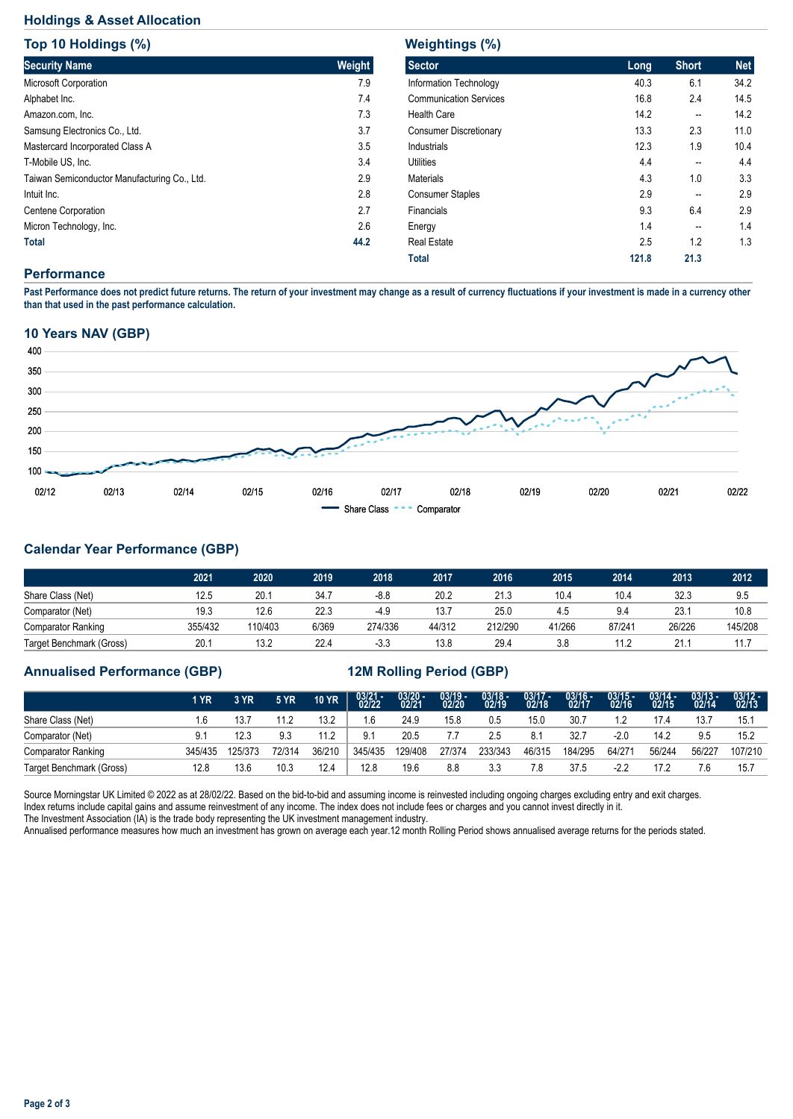# **Holdings & Asset Allocation**

| Top 10 Holdings (%)                          |        |  |  |  |  |  |  |
|----------------------------------------------|--------|--|--|--|--|--|--|
| <b>Security Name</b>                         | Weight |  |  |  |  |  |  |
| Microsoft Corporation                        | 7.9    |  |  |  |  |  |  |
| Alphabet Inc.                                | 7.4    |  |  |  |  |  |  |
| Amazon.com, Inc.                             | 7.3    |  |  |  |  |  |  |
| Samsung Electronics Co., Ltd.                | 3.7    |  |  |  |  |  |  |
| Mastercard Incorporated Class A              | 3.5    |  |  |  |  |  |  |
| T-Mobile US. Inc.                            | 3.4    |  |  |  |  |  |  |
| Taiwan Semiconductor Manufacturing Co., Ltd. | 2.9    |  |  |  |  |  |  |
| Intuit Inc.                                  | 2.8    |  |  |  |  |  |  |
| Centene Corporation                          | 2.7    |  |  |  |  |  |  |
| Micron Technology, Inc.                      | 2.6    |  |  |  |  |  |  |
| Total                                        | 44.2   |  |  |  |  |  |  |

| Long  | <b>Short</b> | <b>Net</b> |
|-------|--------------|------------|
| 40.3  | 6.1          | 34.2       |
| 16.8  | 2.4          | 14.5       |
| 14.2  | --           | 14.2       |
| 13.3  | 2.3          | 11.0       |
| 12.3  | 1.9          | 10.4       |
| 4.4   | --           | 4.4        |
| 4.3   | 1.0          | 3.3        |
| 2.9   | --           | 2.9        |
| 9.3   | 6.4          | 2.9        |
| 1.4   | --           | 1.4        |
| 2.5   | 1.2          | 1.3        |
| 121.8 | 21.3         |            |
|       |              |            |

### **Performance**

**Past Performance does not predict future returns. The return of your investment may change as a result of currency fluctuations if your investment is made in a currency other than that used in the past performance calculation.** 

## **10 Years NAV (GBP)**



# **Calendar Year Performance (GBP)**

|                           | 2021    | 2020    | 2019  | 2018    | 2017   | 2016    | 2015   | 2014   | 2013   | 2012    |
|---------------------------|---------|---------|-------|---------|--------|---------|--------|--------|--------|---------|
| Share Class (Net)         | 12.5    | 20.1    | 34.7  | $-8.8$  | 20.2   | 21.3    | 10.4   | 10.4   | 32.3   | 9.5     |
| Comparator (Net)          | 19.3    | 12.6    | 22.3  | $-4.9$  | 13.7   | 25.0    | 4.5    | 9.4    | 23.7   | 10.8    |
| <b>Comparator Ranking</b> | 355/432 | 110/403 | 6/369 | 274/336 | 44/312 | 212/290 | 41/266 | 87/241 | 26/226 | 145/208 |
| Target Benchmark (Gross)  | 20.1    | 13.2    | 22.4  | $-3.3$  | 13.8   | 29.4    | 3.8    | 11.2   | 21.    |         |

# **Annualised Performance (GBP) 12M Rolling Period (GBP)**

|                           | 1 YR    | 3 YR    | <b>5 YR</b> | <b>10 YR</b> | $03/21 - 02/22$ | $03/20 - 02/21$ | $03/19 -$<br>02/20 | $03/18 -$<br>02/19 | $03/17 -$<br>02/18 | $03/16 -$<br>02/17 | $03/15 -$<br>02/16 | $03/14 -$<br>02/15 | $03/13 -$<br>02/14 | $03/12 -$<br>02/13 |
|---------------------------|---------|---------|-------------|--------------|-----------------|-----------------|--------------------|--------------------|--------------------|--------------------|--------------------|--------------------|--------------------|--------------------|
| Share Class (Net)         | .6      | 13.7    | 11.2        | 13.2         | 1.6             | 24.9            | 15.8               | 0.5                | 15.0               | 30.7               |                    | 17.4               | 13.7               | 15.1               |
| Comparator (Net)          |         | 12.3    | 9.3         | 11.2         | 9.1             | 20.5            |                    | 2.5                | 8.1                | 32.7               | $-2.0$             | 14.2               | 9.5                | 15.2               |
| <b>Comparator Ranking</b> | 345/435 | 125/373 | 72/314      | 36/210       | 345/435         | 129/408         | 27/374             | 233/343            | 46/315             | 184/295            | 64/271             | 56/244             | 56/227             | 107/210            |
| Target Benchmark (Gross)  | 12.8    | 13.6    | 10.3        | 12.4         | 12.8            | 19.6            | 8.8                | 3.3                |                    | 37.5               | $-2.2$             |                    | 7.6                | 15.7               |

Source Morningstar UK Limited © 2022 as at 28/02/22. Based on the bid-to-bid and assuming income is reinvested including ongoing charges excluding entry and exit charges. Index returns include capital gains and assume reinvestment of any income. The index does not include fees or charges and you cannot invest directly in it. The Investment Association (IA) is the trade body representing the UK investment management industry.

Annualised performance measures how much an investment has grown on average each year.12 month Rolling Period shows annualised average returns for the periods stated.